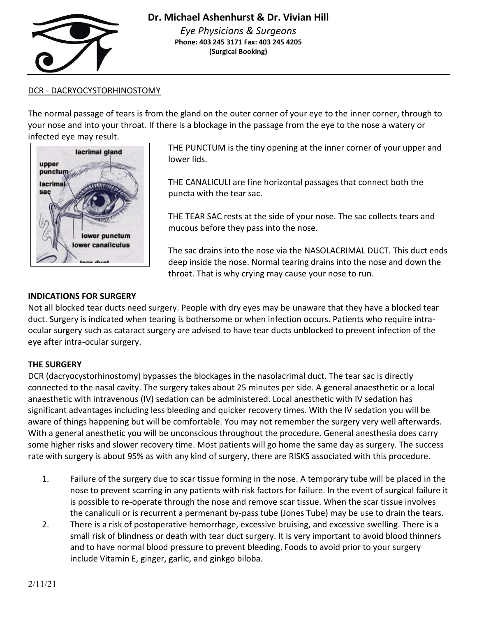

# DCR - DACRYOCYSTORHINOSTOMY

The normal passage of tears is from the gland on the outer corner of your eye to the inner corner, through to your nose and into your throat. If there is a blockage in the passage from the eye to the nose a watery or infected eye may result.



THE PUNCTUM is the tiny opening at the inner corner of your upper and lower lids.

THE CANALICULI are fine horizontal passages that connect both the puncta with the tear sac.

THE TEAR SAC rests at the side of your nose. The sac collects tears and mucous before they pass into the nose.

The sac drains into the nose via the NASOLACRIMAL DUCT. This duct ends deep inside the nose. Normal tearing drains into the nose and down the throat. That is why crying may cause your nose to run.

#### **INDICATIONS FOR SURGERY**

Not all blocked tear ducts need surgery. People with dry eyes may be unaware that they have a blocked tear duct. Surgery is indicated when tearing is bothersome or when infection occurs. Patients who require intraocular surgery such as cataract surgery are advised to have tear ducts unblocked to prevent infection of the eye after intra-ocular surgery.

# **THE SURGERY**

DCR (dacryocystorhinostomy) bypasses the blockages in the nasolacrimal duct. The tear sac is directly connected to the nasal cavity. The surgery takes about 25 minutes per side. A general anaesthetic or a local anaesthetic with intravenous (IV) sedation can be administered. Local anesthetic with IV sedation has significant advantages including less bleeding and quicker recovery times. With the IV sedation you will be aware of things happening but will be comfortable. You may not remember the surgery very well afterwards. With a general anesthetic you will be unconscious throughout the procedure. General anesthesia does carry some higher risks and slower recovery time. Most patients will go home the same day as surgery. The success rate with surgery is about 95% as with any kind of surgery, there are RISKS associated with this procedure.

- 1. Failure of the surgery due to scar tissue forming in the nose. A temporary tube will be placed in the nose to prevent scarring in any patients with risk factors for failure. In the event of surgical failure it is possible to re-operate through the nose and remove scar tissue. When the scar tissue involves the canaliculi or is recurrent a permenant by-pass tube (Jones Tube) may be use to drain the tears.
- 2. There is a risk of postoperative hemorrhage, excessive bruising, and excessive swelling. There is a small risk of blindness or death with tear duct surgery. It is very important to avoid blood thinners and to have normal blood pressure to prevent bleeding. Foods to avoid prior to your surgery include Vitamin E, ginger, garlic, and ginkgo biloba.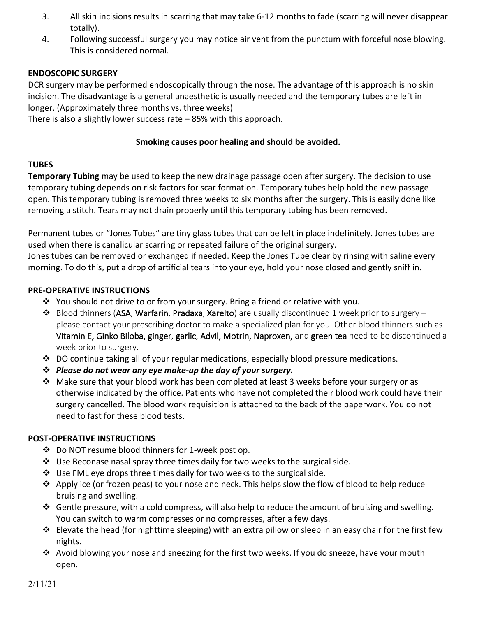- 3. All skin incisions results in scarring that may take 6-12 months to fade (scarring will never disappear totally).
- 4. Following successful surgery you may notice air vent from the punctum with forceful nose blowing. This is considered normal.

### **ENDOSCOPIC SURGERY**

DCR surgery may be performed endoscopically through the nose. The advantage of this approach is no skin incision. The disadvantage is a general anaesthetic is usually needed and the temporary tubes are left in longer. (Approximately three months vs. three weeks)

There is also a slightly lower success rate – 85% with this approach.

#### **Smoking causes poor healing and should be avoided.**

#### **TUBES**

**Temporary Tubing** may be used to keep the new drainage passage open after surgery. The decision to use temporary tubing depends on risk factors for scar formation. Temporary tubes help hold the new passage open. This temporary tubing is removed three weeks to six months after the surgery. This is easily done like removing a stitch. Tears may not drain properly until this temporary tubing has been removed.

Permanent tubes or "Jones Tubes" are tiny glass tubes that can be left in place indefinitely. Jones tubes are used when there is canalicular scarring or repeated failure of the original surgery.

Jones tubes can be removed or exchanged if needed. Keep the Jones Tube clear by rinsing with saline every morning. To do this, put a drop of artificial tears into your eye, hold your nose closed and gently sniff in.

#### **PRE-OPERATIVE INSTRUCTIONS**

- ❖ You should not drive to or from your surgery. Bring a friend or relative with you.
- ❖ Blood thinners (ASA, Warfarin, Pradaxa, Xarelto) are usually discontinued 1 week prior to surgery please contact your prescribing doctor to make a specialized plan for you. Other blood thinners such as Vitamin E, Ginko Biloba, ginger, garlic, Advil, Motrin, Naproxen, and green tea need to be discontinued a week prior to surgery.
- $\div$  DO continue taking all of your regular medications, especially blood pressure medications.
- ❖ *Please do not wear any eye make-up the day of your surgery.*
- ❖ Make sure that your blood work has been completed at least 3 weeks before your surgery or as otherwise indicated by the office. Patients who have not completed their blood work could have their surgery cancelled. The blood work requisition is attached to the back of the paperwork. You do not need to fast for these blood tests.

# **POST-OPERATIVE INSTRUCTIONS**

- ❖ Do NOT resume blood thinners for 1-week post op.
- ❖ Use Beconase nasal spray three times daily for two weeks to the surgical side.
- ❖ Use FML eye drops three times daily for two weeks to the surgical side.
- ❖ Apply ice (or frozen peas) to your nose and neck. This helps slow the flow of blood to help reduce bruising and swelling.
- ❖ Gentle pressure, with a cold compress, will also help to reduce the amount of bruising and swelling. You can switch to warm compresses or no compresses, after a few days.
- ◆ Elevate the head (for nighttime sleeping) with an extra pillow or sleep in an easy chair for the first few nights.
- ❖ Avoid blowing your nose and sneezing for the first two weeks. If you do sneeze, have your mouth open.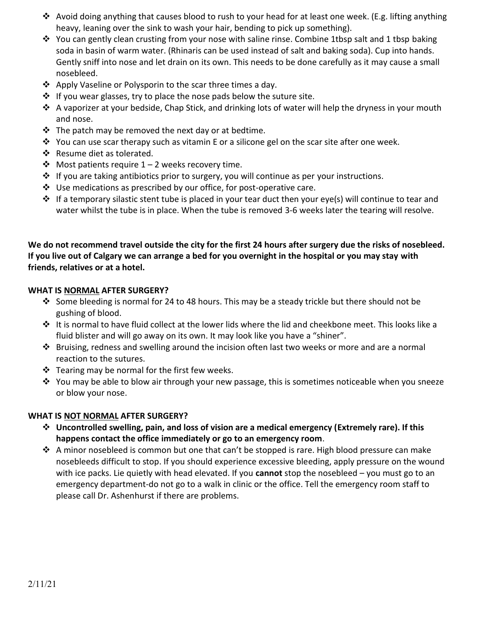- ◆ Avoid doing anything that causes blood to rush to your head for at least one week. (E.g. lifting anything heavy, leaning over the sink to wash your hair, bending to pick up something).
- ❖ You can gently clean crusting from your nose with saline rinse. Combine 1tbsp salt and 1 tbsp baking soda in basin of warm water. (Rhinaris can be used instead of salt and baking soda). Cup into hands. Gently sniff into nose and let drain on its own. This needs to be done carefully as it may cause a small nosebleed.
- ❖ Apply Vaseline or Polysporin to the scar three times a day.
- ❖ If you wear glasses, try to place the nose pads below the suture site.
- ❖ A vaporizer at your bedside, Chap Stick, and drinking lots of water will help the dryness in your mouth and nose.
- $\cdot \cdot$  The patch may be removed the next day or at bedtime.
- $\dots$  You can use scar therapy such as vitamin E or a silicone gel on the scar site after one week.
- ❖ Resume diet as tolerated.
- $\dots$  Most patients require 1 2 weeks recovery time.
- ❖ If you are taking antibiotics prior to surgery, you will continue as per your instructions.
- ❖ Use medications as prescribed by our office, for post-operative care.
- ◆ If a temporary silastic stent tube is placed in your tear duct then your eye(s) will continue to tear and water whilst the tube is in place. When the tube is removed 3-6 weeks later the tearing will resolve.

**We do not recommend travel outside the city for the first 24 hours after surgery due the risks of nosebleed. If you live out of Calgary we can arrange a bed for you overnight in the hospital or you may stay with friends, relatives or at a hotel.** 

# **WHAT IS NORMAL AFTER SURGERY?**

- ◆ Some bleeding is normal for 24 to 48 hours. This may be a steady trickle but there should not be gushing of blood.
- ❖ It is normal to have fluid collect at the lower lids where the lid and cheekbone meet. This looks like a fluid blister and will go away on its own. It may look like you have a "shiner".
- ❖ Bruising, redness and swelling around the incision often last two weeks or more and are a normal reaction to the sutures.
- ❖ Tearing may be normal for the first few weeks.
- ❖ You may be able to blow air through your new passage, this is sometimes noticeable when you sneeze or blow your nose.

# **WHAT IS NOT NORMAL AFTER SURGERY?**

- ❖ **Uncontrolled swelling, pain, and loss of vision are a medical emergency (Extremely rare). If this happens contact the office immediately or go to an emergency room**.
- ❖ A minor nosebleed is common but one that can't be stopped is rare. High blood pressure can make nosebleeds difficult to stop. If you should experience excessive bleeding, apply pressure on the wound with ice packs. Lie quietly with head elevated. If you **cannot** stop the nosebleed – you must go to an emergency department-do not go to a walk in clinic or the office. Tell the emergency room staff to please call Dr. Ashenhurst if there are problems.